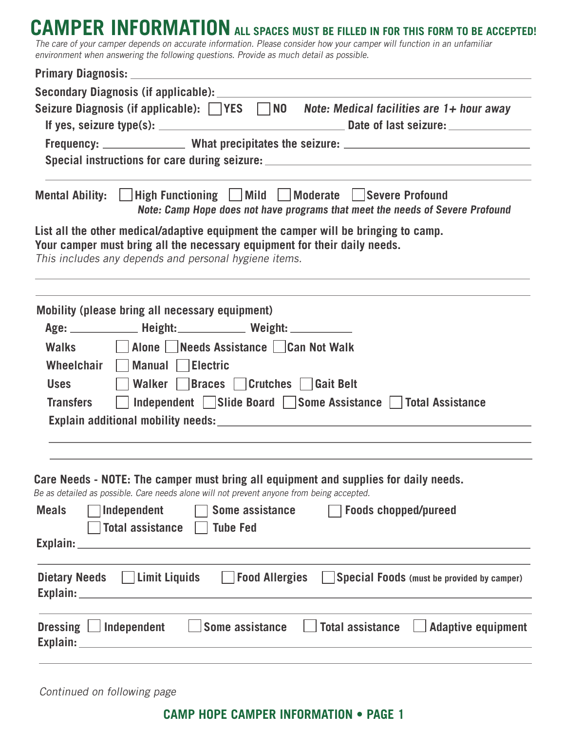## CAMPER INFORMATION ALL SPACES MUST BE FILLED IN FOR THIS FORM TO BE ACCEPTED!

The care of your camper depends on accurate information. Please consider how your camper will function in an unfamiliar environment when answering the following questions. Provide as much detail as possible.

| Primary Diagnosis: New York Contract of the Contract of the Contract of the Contract of the Contract of the Co                                                                                                                                                                                                                 |  |  |
|--------------------------------------------------------------------------------------------------------------------------------------------------------------------------------------------------------------------------------------------------------------------------------------------------------------------------------|--|--|
|                                                                                                                                                                                                                                                                                                                                |  |  |
| Seizure Diagnosis (if applicable): $\Box$ YES $\Box$ NO Note: Medical facilities are 1+ hour away                                                                                                                                                                                                                              |  |  |
|                                                                                                                                                                                                                                                                                                                                |  |  |
| Special instructions for care during seizure: __________________________________                                                                                                                                                                                                                                               |  |  |
| Mental Ability:     High Functioning     Mild   Moderate   Severe Profound<br>Note: Camp Hope does not have programs that meet the needs of Severe Profound                                                                                                                                                                    |  |  |
| List all the other medical/adaptive equipment the camper will be bringing to camp.<br>Your camper must bring all the necessary equipment for their daily needs.<br>This includes any depends and personal hygiene items.                                                                                                       |  |  |
| Mobility (please bring all necessary equipment)<br>Age: ________________ Height: ________________ Weight: _____________                                                                                                                                                                                                        |  |  |
| Walks Jalone Needs Assistance Can Not Walk<br>Wheelchair Manual Electric                                                                                                                                                                                                                                                       |  |  |
| Walker Braces Crutches Gait Belt<br><b>Uses</b>                                                                                                                                                                                                                                                                                |  |  |
| □ Independent Slide Board Some Assistance Total Assistance<br><b>Transfers</b>                                                                                                                                                                                                                                                 |  |  |
|                                                                                                                                                                                                                                                                                                                                |  |  |
|                                                                                                                                                                                                                                                                                                                                |  |  |
| Care Needs - NOTE: The camper must bring all equipment and supplies for daily needs.<br>Be as detailed as possible. Care needs alone will not prevent anyone from being accepted.                                                                                                                                              |  |  |
| <b>Meals</b><br><b>Independent</b><br>Some assistance<br><b>Foods chopped/pureed</b><br><b>Total assistance</b><br><b>Tube Fed</b>                                                                                                                                                                                             |  |  |
|                                                                                                                                                                                                                                                                                                                                |  |  |
| Dietary Needs   Limit Liquids   Food Allergies<br>Special Foods (must be provided by camper)<br>Explain: The Company of the Company of the Company of the Company of the Company of the Company of the Company of the Company of the Company of the Company of the Company of the Company of the Company of the Company of the |  |  |
| <b>Adaptive equipment</b><br>Dressing $\Box$ Independent<br>Some assistance<br><b>Total assistance</b>                                                                                                                                                                                                                         |  |  |

Continued on following page